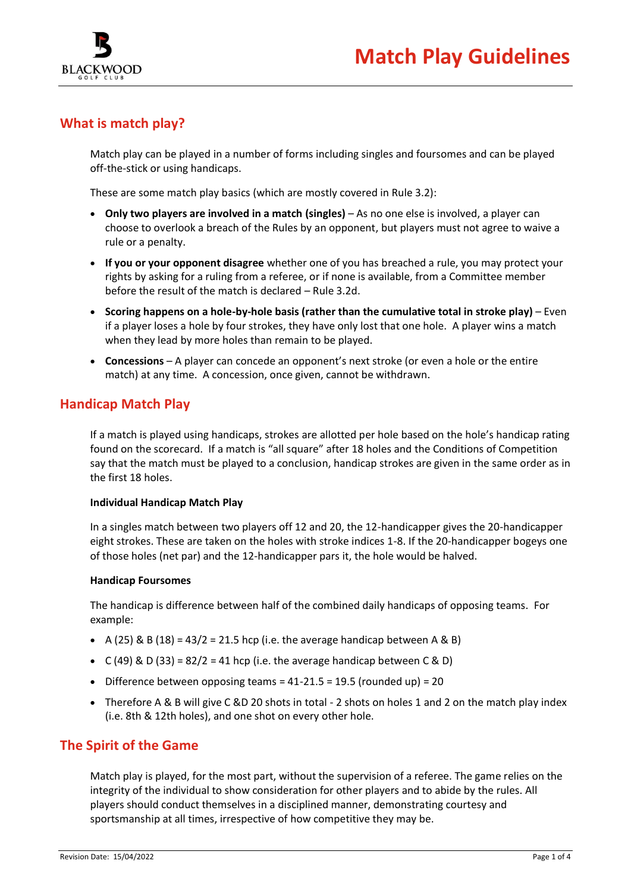

# **What is match play?**

Match play can be played in a number of forms including singles and foursomes and can be played off-the-stick or using handicaps.

These are some match play basics (which are mostly covered in Rule 3.2):

- **Only two players are involved in a match (singles)** As no one else is involved, a player can choose to overlook a breach of the Rules by an opponent, but players must not agree to waive a rule or a penalty.
- **If you or your opponent disagree** whether one of you has breached a rule, you may protect your rights by asking for a ruling from a referee, or if none is available, from a Committee member before the result of the match is declared – Rule 3.2d.
- **Scoring happens on a hole-by-hole basis (rather than the cumulative total in stroke play)** Even if a player loses a hole by four strokes, they have only lost that one hole. A player wins a match when they lead by more holes than remain to be played.
- **Concessions** A player can concede an opponent's next stroke (or even a hole or the entire match) at any time. A concession, once given, cannot be withdrawn.

# **Handicap Match Play**

If a match is played using handicaps, strokes are allotted per hole based on the hole's handicap rating found on the scorecard. If a match is "all square" after 18 holes and the Conditions of Competition say that the match must be played to a conclusion, handicap strokes are given in the same order as in the first 18 holes.

## **Individual Handicap Match Play**

In a singles match between two players off 12 and 20, the 12-handicapper gives the 20-handicapper eight strokes. These are taken on the holes with stroke indices 1-8. If the 20-handicapper bogeys one of those holes (net par) and the 12-handicapper pars it, the hole would be halved.

## **Handicap Foursomes**

The handicap is difference between half of the combined daily handicaps of opposing teams. For example:

- A (25) & B (18) = 43/2 = 21.5 hcp (i.e. the average handicap between A & B)
- C (49) & D (33) =  $82/2$  = 41 hcp (i.e. the average handicap between C & D)
- Difference between opposing teams = 41-21.5 = 19.5 (rounded up) = 20
- Therefore A & B will give C &D 20 shots in total 2 shots on holes 1 and 2 on the match play index (i.e. 8th & 12th holes), and one shot on every other hole.

# **The Spirit of the Game**

Match play is played, for the most part, without the supervision of a referee. The game relies on the integrity of the individual to show consideration for other players and to abide by the rules. All players should conduct themselves in a disciplined manner, demonstrating courtesy and sportsmanship at all times, irrespective of how competitive they may be.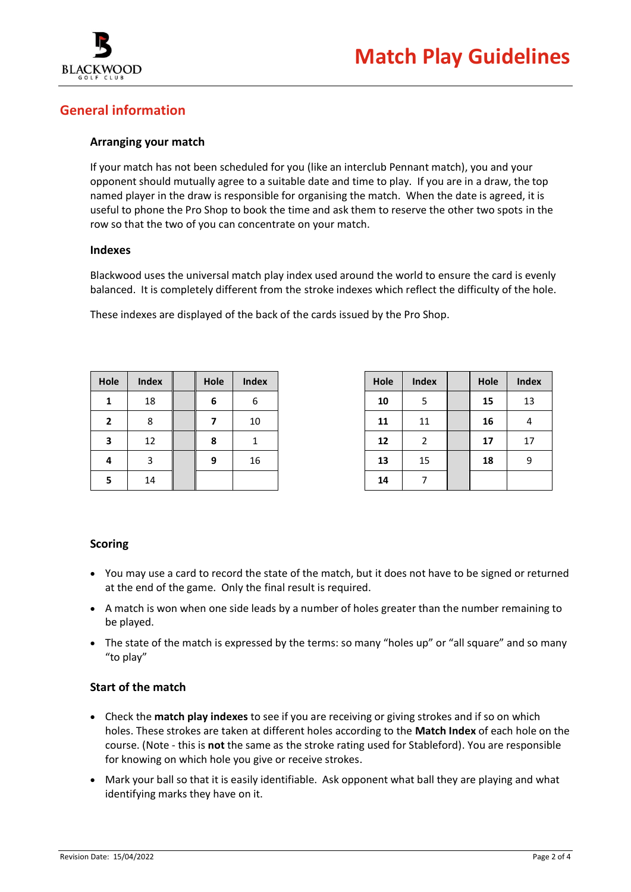

# **General information**

## **Arranging your match**

If your match has not been scheduled for you (like an interclub Pennant match), you and your opponent should mutually agree to a suitable date and time to play. If you are in a draw, the top named player in the draw is responsible for organising the match. When the date is agreed, it is useful to phone the Pro Shop to book the time and ask them to reserve the other two spots in the row so that the two of you can concentrate on your match.

## **Indexes**

Blackwood uses the universal match play index used around the world to ensure the card is evenly balanced. It is completely different from the stroke indexes which reflect the difficulty of the hole.

These indexes are displayed of the back of the cards issued by the Pro Shop.

| Hole           | <b>Index</b> | Hole | <b>Index</b> |
|----------------|--------------|------|--------------|
| 1              | 18           | 6    | 6            |
| $\overline{2}$ | 8            |      | 10           |
| 3              | 12           | 8    |              |
| 4              | 3            | 9    | 16           |
| 5              | 14           |      |              |

| Hole | <b>Index</b> | Hole | <b>Index</b> |
|------|--------------|------|--------------|
| 10   | 5            | 15   | 13           |
| 11   | 11           | 16   |              |
| 12   | 2            | 17   | 17           |
| 13   | 15           | 18   | g            |
| 14   |              |      |              |

## **Scoring**

- You may use a card to record the state of the match, but it does not have to be signed or returned at the end of the game. Only the final result is required.
- A match is won when one side leads by a number of holes greater than the number remaining to be played.
- The state of the match is expressed by the terms: so many "holes up" or "all square" and so many "to play"

## **Start of the match**

- Check the **match play indexes** to see if you are receiving or giving strokes and if so on which holes. These strokes are taken at different holes according to the **Match Index** of each hole on the course. (Note - this is **not** the same as the stroke rating used for Stableford). You are responsible for knowing on which hole you give or receive strokes.
- Mark your ball so that it is easily identifiable. Ask opponent what ball they are playing and what identifying marks they have on it.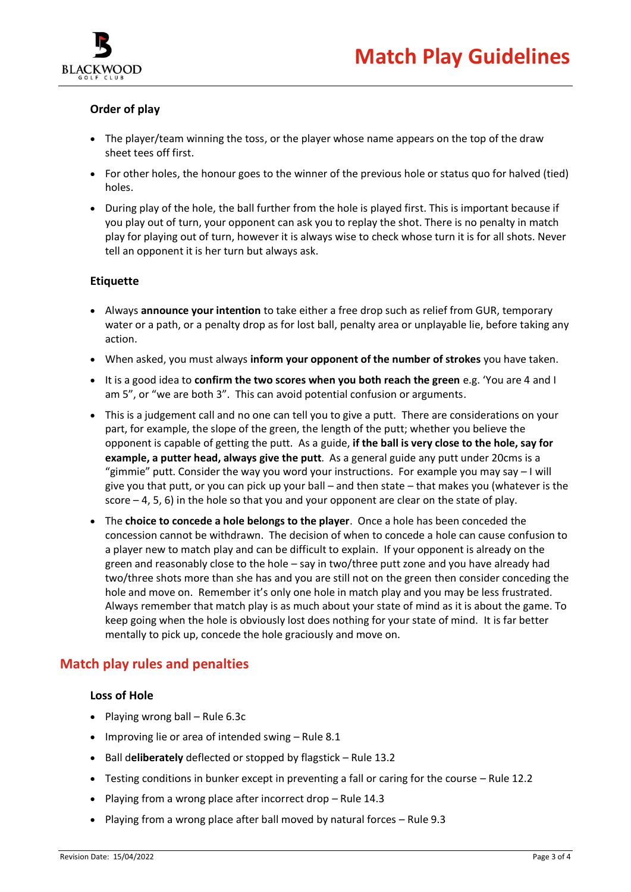

# **Order of play**

- The player/team winning the toss, or the player whose name appears on the top of the draw sheet tees off first.
- For other holes, the honour goes to the winner of the previous hole or status quo for halved (tied) holes.
- During play of the hole, the ball further from the hole is played first. This is important because if you play out of turn, your opponent can ask you to replay the shot. There is no penalty in match play for playing out of turn, however it is always wise to check whose turn it is for all shots. Never tell an opponent it is her turn but always ask.

## **Etiquette**

- Always **announce your intention** to take either a free drop such as relief from GUR, temporary water or a path, or a penalty drop as for lost ball, penalty area or unplayable lie, before taking any action.
- When asked, you must always **inform your opponent of the number of strokes** you have taken.
- It is a good idea to **confirm the two scores when you both reach the green** e.g. 'You are 4 and I am 5", or "we are both 3". This can avoid potential confusion or arguments.
- This is a judgement call and no one can tell you to give a putt. There are considerations on your part, for example, the slope of the green, the length of the putt; whether you believe the opponent is capable of getting the putt. As a guide, **if the ball is very close to the hole, say for example, a putter head, always give the putt**. As a general guide any putt under 20cms is a "gimmie" putt. Consider the way you word your instructions. For example you may say – I will give you that putt, or you can pick up your ball – and then state – that makes you (whatever is the score – 4, 5, 6) in the hole so that you and your opponent are clear on the state of play.
- The **choice to concede a hole belongs to the player**. Once a hole has been conceded the concession cannot be withdrawn. The decision of when to concede a hole can cause confusion to a player new to match play and can be difficult to explain. If your opponent is already on the green and reasonably close to the hole – say in two/three putt zone and you have already had two/three shots more than she has and you are still not on the green then consider conceding the hole and move on. Remember it's only one hole in match play and you may be less frustrated. Always remember that match play is as much about your state of mind as it is about the game. To keep going when the hole is obviously lost does nothing for your state of mind. It is far better mentally to pick up, concede the hole graciously and move on.

# **Match play rules and penalties**

## **Loss of Hole**

- Playing wrong ball Rule 6.3c
- Improving lie or area of intended swing Rule 8.1
- Ball d**eliberately** deflected or stopped by flagstick Rule 13.2
- Testing conditions in bunker except in preventing a fall or caring for the course Rule 12.2
- Playing from a wrong place after incorrect drop Rule 14.3
- Playing from a wrong place after ball moved by natural forces Rule 9.3